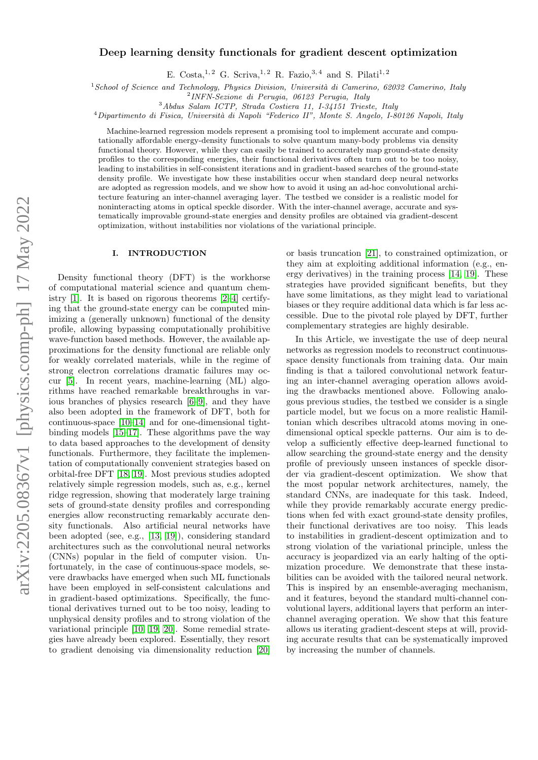# arXiv:2205.08367v1 [physics.comp-ph] 17 May 2022 arXiv:2205.08367v1 [physics.comp-ph] 17 May 2022

# Deep learning density functionals for gradient descent optimization

E. Costa, <sup>1, 2</sup> G. Scriva, <sup>1, 2</sup> R. Fazio, <sup>3, 4</sup> and S. Pilati<sup>1, 2</sup>

 $1$ School of Science and Technology, Physics Division, Università di Camerino, 62032 Camerino, Italy

2 INFN-Sezione di Perugia, 06123 Perugia, Italy

<sup>3</sup>Abdus Salam ICTP, Strada Costiera 11, I-34151 Trieste, Italy

 $4$ Dipartimento di Fisica, Università di Napoli "Federico II", Monte S. Angelo, I-80126 Napoli, Italy

Machine-learned regression models represent a promising tool to implement accurate and computationally affordable energy-density functionals to solve quantum many-body problems via density functional theory. However, while they can easily be trained to accurately map ground-state density profiles to the corresponding energies, their functional derivatives often turn out to be too noisy, leading to instabilities in self-consistent iterations and in gradient-based searches of the ground-state density profile. We investigate how these instabilities occur when standard deep neural networks are adopted as regression models, and we show how to avoid it using an ad-hoc convolutional architecture featuring an inter-channel averaging layer. The testbed we consider is a realistic model for noninteracting atoms in optical speckle disorder. With the inter-channel average, accurate and systematically improvable ground-state energies and density profiles are obtained via gradient-descent optimization, without instabilities nor violations of the variational principle.

# I. INTRODUCTION

Density functional theory (DFT) is the workhorse of computational material science and quantum chemistry [\[1\]](#page-7-0). It is based on rigorous theorems [\[2](#page-7-1)[–4\]](#page-7-2) certifying that the ground-state energy can be computed minimizing a (generally unknown) functional of the density profile, allowing bypassing computationally prohibitive wave-function based methods. However, the available approximations for the density functional are reliable only for weakly correlated materials, while in the regime of strong electron correlations dramatic failures may occur [\[5\]](#page-7-3). In recent years, machine-learning (ML) algorithms have reached remarkable breakthroughs in various branches of physics research [\[6–](#page-7-4)[9\]](#page-7-5), and they have also been adopted in the framework of DFT, both for continuous-space [\[10–](#page-7-6)[14\]](#page-7-7) and for one-dimensional tightbinding models [\[15–](#page-7-8)[17\]](#page-8-0). These algorithms pave the way to data based approaches to the development of density functionals. Furthermore, they facilitate the implementation of computationally convenient strategies based on orbital-free DFT [\[18,](#page-8-1) [19\]](#page-8-2). Most previous studies adopted relatively simple regression models, such as, e.g., kernel ridge regression, showing that moderately large training sets of ground-state density profiles and corresponding energies allow reconstructing remarkably accurate density functionals. Also artificial neural networks have been adopted (see, e.g., [\[13,](#page-7-9) [19\]](#page-8-2)), considering standard architectures such as the convolutional neural networks (CNNs) popular in the field of computer vision. Unfortunately, in the case of continuous-space models, severe drawbacks have emerged when such ML functionals have been employed in self-consistent calculations and in gradient-based optimizations. Specifically, the functional derivatives turned out to be too noisy, leading to unphysical density profiles and to strong violation of the variational principle [\[10,](#page-7-6) [19,](#page-8-2) [20\]](#page-8-3). Some remedial strategies have already been explored. Essentially, they resort to gradient denoising via dimensionality reduction [\[20\]](#page-8-3)

or basis truncation [\[21\]](#page-8-4), to constrained optimization, or they aim at exploiting additional information (e.g., energy derivatives) in the training process [\[14,](#page-7-7) [19\]](#page-8-2). These strategies have provided significant benefits, but they have some limitations, as they might lead to variational biases or they require additional data which is far less accessible. Due to the pivotal role played by DFT, further complementary strategies are highly desirable.

In this Article, we investigate the use of deep neural networks as regression models to reconstruct continuousspace density functionals from training data. Our main finding is that a tailored convolutional network featuring an inter-channel averaging operation allows avoiding the drawbacks mentioned above. Following analogous previous studies, the testbed we consider is a single particle model, but we focus on a more realistic Hamiltonian which describes ultracold atoms moving in onedimensional optical speckle patterns. Our aim is to develop a sufficiently effective deep-learned functional to allow searching the ground-state energy and the density profile of previously unseen instances of speckle disorder via gradient-descent optimization. We show that the most popular network architectures, namely, the standard CNNs, are inadequate for this task. Indeed, while they provide remarkably accurate energy predictions when fed with exact ground-state density profiles, their functional derivatives are too noisy. This leads to instabilities in gradient-descent optimization and to strong violation of the variational principle, unless the accuracy is jeopardized via an early halting of the optimization procedure. We demonstrate that these instabilities can be avoided with the tailored neural network. This is inspired by an ensemble-averaging mechanism, and it features, beyond the standard multi-channel convolutional layers, additional layers that perform an interchannel averaging operation. We show that this feature allows us iterating gradient-descent steps at will, providing accurate results that can be systematically improved by increasing the number of channels.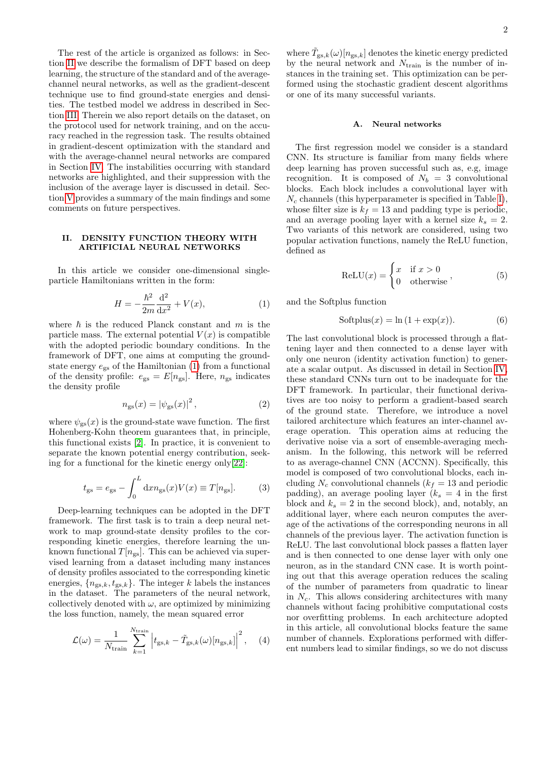The rest of the article is organized as follows: in Section [II](#page-1-0) we describe the formalism of DFT based on deep learning, the structure of the standard and of the averagechannel neural networks, as well as the gradient-descent technique use to find ground-state energies and densities. The testbed model we address in described in Section [III.](#page-3-0) Therein we also report details on the dataset, on the protocol used for network training, and on the accuracy reached in the regression task. The results obtained in gradient-descent optimization with the standard and with the average-channel neural networks are compared in Section [IV.](#page-4-0) The instabilities occurring with standard networks are highlighted, and their suppression with the inclusion of the average layer is discussed in detail. Section [V](#page-6-0) provides a summary of the main findings and some comments on future perspectives.

# <span id="page-1-0"></span>II. DENSITY FUNCTION THEORY WITH ARTIFICIAL NEURAL NETWORKS

In this article we consider one-dimensional singleparticle Hamiltonians written in the form:

<span id="page-1-1"></span>
$$
H = -\frac{\hbar^2}{2m} \frac{\mathrm{d}^2}{\mathrm{d}x^2} + V(x),\tag{1}
$$

where  $\hbar$  is the reduced Planck constant and m is the particle mass. The external potential  $V(x)$  is compatible with the adopted periodic boundary conditions. In the framework of DFT, one aims at computing the groundstate energy  $e_{gs}$  of the Hamiltonian [\(1\)](#page-1-1) from a functional of the density profile:  $e_{gs} = E[n_{gs}]$ . Here,  $n_{gs}$  indicates the density profile

<span id="page-1-2"></span>
$$
n_{\rm gs}(x) = |\psi_{\rm gs}(x)|^2 \,, \tag{2}
$$

where  $\psi_{\rm gs}(x)$  is the ground-state wave function. The first Hohenberg-Kohn theorem guarantees that, in principle, this functional exists [\[2\]](#page-7-1). In practice, it is convenient to separate the known potential energy contribution, seeking for a functional for the kinetic energy only[\[22\]](#page-8-5):

<span id="page-1-3"></span>
$$
t_{\rm gs} = e_{\rm gs} - \int_0^L \mathrm{d}x n_{\rm gs}(x) V(x) \equiv T[n_{\rm gs}]. \tag{3}
$$

Deep-learning techniques can be adopted in the DFT framework. The first task is to train a deep neural network to map ground-state density profiles to the corresponding kinetic energies, therefore learning the unknown functional  $T[n_{gs}]$ . This can be achieved via supervised learning from a dataset including many instances of density profiles associated to the corresponding kinetic energies,  $\{n_{gs,k}, t_{gs,k}\}$ . The integer k labels the instances in the dataset. The parameters of the neural network, collectively denoted with  $\omega$ , are optimized by minimizing the loss function, namely, the mean squared error

<span id="page-1-4"></span>
$$
\mathcal{L}(\omega) = \frac{1}{N_{\text{train}}} \sum_{k=1}^{N_{\text{train}}} \left| t_{\text{gs},k} - \tilde{T}_{\text{gs},k}(\omega) [n_{\text{gs},k}] \right|^2, \quad (4)
$$

where  $\tilde{T}_{gs,k}(\omega)[n_{gs,k}]$  denotes the kinetic energy predicted by the neural network and  $N_{\text{train}}$  is the number of instances in the training set. This optimization can be performed using the stochastic gradient descent algorithms or one of its many successful variants.

# A. Neural networks

The first regression model we consider is a standard CNN. Its structure is familiar from many fields where deep learning has proven successful such as, e.g, image recognition. It is composed of  $N_b = 3$  convolutional blocks. Each block includes a convolutional layer with  $N_c$  channels (this hyperparameter is specified in Table [I\)](#page-3-1), whose filter size is  $k_f = 13$  and padding type is periodic, and an average pooling layer with a kernel size  $k_s = 2$ . Two variants of this network are considered, using two popular activation functions, namely the ReLU function, defined as

$$
ReLU(x) = \begin{cases} x & \text{if } x > 0 \\ 0 & \text{otherwise} \end{cases},
$$
 (5)

and the Softplus function

$$
Softplus(x) = \ln(1 + \exp(x)).
$$
\n(6)

The last convolutional block is processed through a flattening layer and then connected to a dense layer with only one neuron (identity activation function) to generate a scalar output. As discussed in detail in Section [IV,](#page-4-0) these standard CNNs turn out to be inadequate for the DFT framework. In particular, their functional derivatives are too noisy to perform a gradient-based search of the ground state. Therefore, we introduce a novel tailored architecture which features an inter-channel average operation. This operation aims at reducing the derivative noise via a sort of ensemble-averaging mechanism. In the following, this network will be referred to as average-channel CNN (ACCNN). Specifically, this model is composed of two convolutional blocks, each including  $N_c$  convolutional channels  $(k_f = 13$  and periodic padding), an average pooling layer  $(k_s = 4$  in the first block and  $k_s = 2$  in the second block), and, notably, an additional layer, where each neuron computes the average of the activations of the corresponding neurons in all channels of the previous layer. The activation function is ReLU. The last convolutional block passes a flatten layer and is then connected to one dense layer with only one neuron, as in the standard CNN case. It is worth pointing out that this average operation reduces the scaling of the number of parameters from quadratic to linear in  $N_c$ . This allows considering architectures with many channels without facing prohibitive computational costs nor overfitting problems. In each architecture adopted in this article, all convolutional blocks feature the same number of channels. Explorations performed with different numbers lead to similar findings, so we do not discuss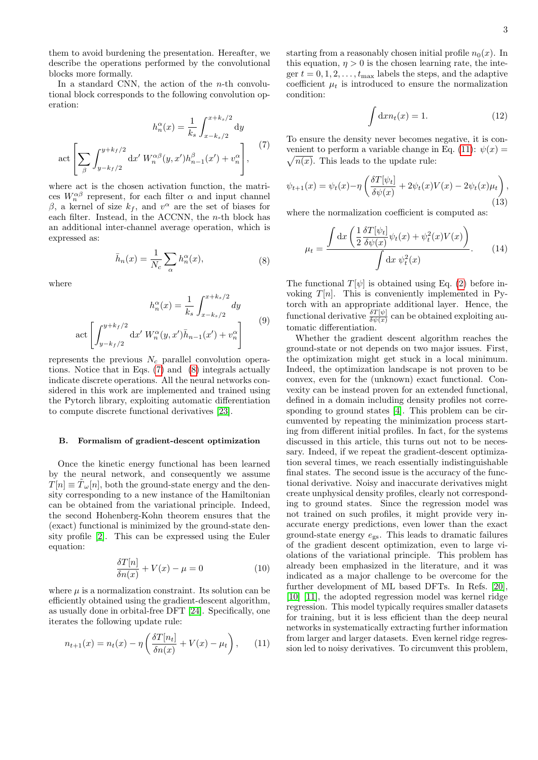them to avoid burdening the presentation. Hereafter, we describe the operations performed by the convolutional blocks more formally.

In a standard CNN, the action of the  $n$ -th convolutional block corresponds to the following convolution operation:

<span id="page-2-0"></span>
$$
h_n^{\alpha}(x) = \frac{1}{k_s} \int_{x-k_s/2}^{x+k_s/2} dy
$$
  
 
$$
\det \left[ \sum_{\beta} \int_{y-k_f/2}^{y+k_f/2} dx' \, W_n^{\alpha\beta}(y, x') h_{n-1}^{\beta}(x') + v_n^{\alpha} \right], \tag{7}
$$

where act is the chosen activation function, the matrices  $W_n^{\alpha\beta}$  represent, for each filter  $\alpha$  and input channel β, a kernel of size  $k_f$ , and  $v^{\alpha}$  are the set of biases for each filter. Instead, in the ACCNN, the n-th block has an additional inter-channel average operation, which is expressed as:

$$
\bar{h}_n(x) = \frac{1}{N_c} \sum_{\alpha} h_n^{\alpha}(x),\tag{8}
$$

<span id="page-2-1"></span>where

$$
h_n^{\alpha}(x) = \frac{1}{k_s} \int_{x - k_s/2}^{x + k_s/2} dy
$$

$$
\operatorname{act} \left[ \int_{y - k_f/2}^{y + k_f/2} dx' W_n^{\alpha}(y, x') \bar{h}_{n-1}(x') + v_n^{\alpha} \right]
$$
(9)

represents the previous  $N_c$  parallel convolution operations. Notice that in Eqs. [\(7\)](#page-2-0) and [\(8\)](#page-2-1) integrals actually indicate discrete operations. All the neural networks considered in this work are implemented and trained using the Pytorch library, exploiting automatic differentiation to compute discrete functional derivatives [\[23\]](#page-8-6).

### B. Formalism of gradient-descent optimization

Once the kinetic energy functional has been learned by the neural network, and consequently we assume  $T[n] \equiv \tilde{T}_{\omega}[n]$ , both the ground-state energy and the density corresponding to a new instance of the Hamiltonian can be obtained from the variational principle. Indeed, the second Hohenberg-Kohn theorem ensures that the (exact) functional is minimized by the ground-state density profile [\[2\]](#page-7-1). This can be expressed using the Euler equation:

$$
\frac{\delta T[n]}{\delta n(x)} + V(x) - \mu = 0 \tag{10}
$$

where  $\mu$  is a normalization constraint. Its solution can be efficiently obtained using the gradient-descent algorithm, as usually done in orbital-free DFT [\[24\]](#page-8-7). Specifically, one iterates the following update rule:

<span id="page-2-2"></span>
$$
n_{t+1}(x) = n_t(x) - \eta \left( \frac{\delta T[n_t]}{\delta n(x)} + V(x) - \mu_t \right), \quad (11)
$$

starting from a reasonably chosen initial profile  $n_0(x)$ . In this equation,  $\eta > 0$  is the chosen learning rate, the integer  $t = 0, 1, 2, \ldots, t_{\text{max}}$  labels the steps, and the adaptive coefficient  $\mu_t$  is introduced to ensure the normalization condition:

$$
\int \mathrm{d}x n_t(x) = 1. \tag{12}
$$

To ensure the density never becomes negative, it is con-venient to perform a variable change in Eq. [\(11\)](#page-2-2):  $\psi(x) =$  $\sqrt{n(x)}$ . This leads to the update rule:

<span id="page-2-4"></span>
$$
\psi_{t+1}(x) = \psi_t(x) - \eta \left( \frac{\delta T[\psi_t]}{\delta \psi(x)} + 2\psi_t(x)V(x) - 2\psi_t(x)\mu_t \right),\tag{13}
$$

where the normalization coefficient is computed as:

<span id="page-2-3"></span>
$$
\mu_t = \frac{\int \mathrm{d}x \left( \frac{1}{2} \frac{\delta T[\psi_t]}{\delta \psi(x)} \psi_t(x) + \psi_t^2(x) V(x) \right)}{\int \mathrm{d}x \psi_t^2(x)}.
$$
(14)

The functional  $T[\psi]$  is obtained using Eq. [\(2\)](#page-1-2) before invoking  $T[n]$ . This is conveniently implemented in Pytorch with an appropriate additional layer. Hence, the functional derivative  $\frac{\delta T[\psi]}{\delta \psi(x)}$  can be obtained exploiting automatic differentiation.

Whether the gradient descent algorithm reaches the ground-state or not depends on two major issues. First, the optimization might get stuck in a local minimum. Indeed, the optimization landscape is not proven to be convex, even for the (unknown) exact functional. Convexity can be instead proven for an extended functional, defined in a domain including density profiles not corresponding to ground states [\[4\]](#page-7-2). This problem can be circumvented by repeating the minimization process starting from different initial profiles. In fact, for the systems discussed in this article, this turns out not to be necessary. Indeed, if we repeat the gradient-descent optimization several times, we reach essentially indistinguishable final states. The second issue is the accuracy of the functional derivative. Noisy and inaccurate derivatives might create unphysical density profiles, clearly not corresponding to ground states. Since the regression model was not trained on such profiles, it might provide very inaccurate energy predictions, even lower than the exact ground-state energy  $e_{\rm gs}$ . This leads to dramatic failures of the gradient descent optimization, even to large violations of the variational principle. This problem has already been emphasized in the literature, and it was indicated as a major challenge to be overcome for the further development of ML based DFTs. In Refs. [\[20\]](#page-8-3), [\[10\]](#page-7-6) [\[11\]](#page-7-10), the adopted regression model was kernel ridge regression. This model typically requires smaller datasets for training, but it is less efficient than the deep neural networks in systematically extracting further information from larger and larger datasets. Even kernel ridge regression led to noisy derivatives. To circumvent this problem,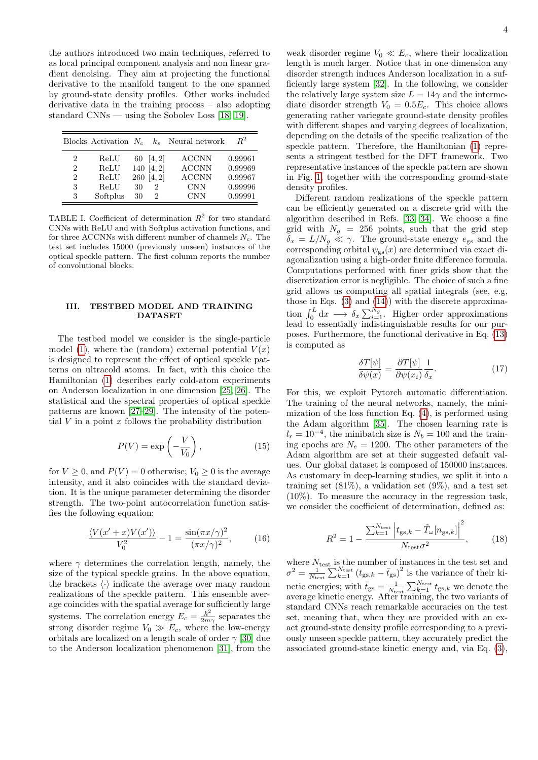the authors introduced two main techniques, referred to as local principal component analysis and non linear gradient denoising. They aim at projecting the functional derivative to the manifold tangent to the one spanned by ground-state density profiles. Other works included derivative data in the training process – also adopting standard CNNs — using the Sobolev Loss [\[18,](#page-8-1) [19\]](#page-8-2).

|                | Blocks Activation $N_c$ |    |            | $k_s$ Neural network | $R^2$   |
|----------------|-------------------------|----|------------|----------------------|---------|
| 2              | ReLU                    | 60 | [4, 2]     | <b>ACCNN</b>         | 0.99961 |
| $\overline{2}$ | ReLU                    |    | 140 [4, 2] | <b>ACCNN</b>         | 0.99969 |
| $\overline{2}$ | ReLU                    |    | 260 [4, 2] | <b>ACCNN</b>         | 0.99967 |
| 3              | ReLU                    | 30 | 2          | <b>CNN</b>           | 0.99996 |
| 3              | Softplus                | 30 | 2          | <b>CNN</b>           | 0.99991 |

<span id="page-3-1"></span>TABLE I. Coefficient of determination  $R^2$  for two standard CNNs with ReLU and with Softplus activation functions, and for three ACCNNs with different number of channels  $N_c$ . The test set includes 15000 (previously unseen) instances of the optical speckle pattern. The first column reports the number of convolutional blocks.

## <span id="page-3-0"></span>III. TESTBED MODEL AND TRAINING **DATASET**

The testbed model we consider is the single-particle model [\(1\)](#page-1-1), where the (random) external potential  $V(x)$ is designed to represent the effect of optical speckle patterns on ultracold atoms. In fact, with this choice the Hamiltonian [\(1\)](#page-1-1) describes early cold-atom experiments on Anderson localization in one dimension [\[25,](#page-8-8) [26\]](#page-8-9). The statistical and the spectral properties of optical speckle patterns are known [\[27–](#page-8-10)[29\]](#page-8-11). The intensity of the potential  $V$  in a point  $x$  follows the probability distribution

$$
P(V) = \exp\left(-\frac{V}{V_0}\right),\tag{15}
$$

for  $V \geq 0$ , and  $P(V) = 0$  otherwise;  $V_0 \geq 0$  is the average intensity, and it also coincides with the standard deviation. It is the unique parameter determining the disorder strength. The two-point autocorrelation function satisfies the following equation:

$$
\frac{\langle V(x'+x)V(x')\rangle}{V_0^2} - 1 = \frac{\sin(\pi x/\gamma)^2}{(\pi x/\gamma)^2},\tag{16}
$$

where  $\gamma$  determines the correlation length, namely, the size of the typical speckle grains. In the above equation, the brackets  $\langle \cdot \rangle$  indicate the average over many random realizations of the speckle pattern. This ensemble average coincides with the spatial average for sufficiently large systems. The correlation energy  $E_c = \frac{\hbar^2}{2m}$  $\frac{\hbar^2}{2m\gamma}$  separates the strong disorder regime  $V_0 \gg E_c$ , where the low-energy orbitals are localized on a length scale of order  $\gamma$  [\[30\]](#page-8-12) due to the Anderson localization phenomenon [\[31\]](#page-8-13), from the

4

weak disorder regime  $V_0 \ll E_c$ , where their localization length is much larger. Notice that in one dimension any disorder strength induces Anderson localization in a sufficiently large system [\[32\]](#page-8-14). In the following, we consider the relatively large system size  $L = 14\gamma$  and the intermediate disorder strength  $V_0 = 0.5E_c$ . This choice allows generating rather variegate ground-state density profiles with different shapes and varying degrees of localization, depending on the details of the specific realization of the speckle pattern. Therefore, the Hamiltonian [\(1\)](#page-1-1) represents a stringent testbed for the DFT framework. Two representative instances of the speckle pattern are shown in Fig. [1,](#page-4-1) together with the corresponding ground-state density profiles.

Different random realizations of the speckle pattern can be efficiently generated on a discrete grid with the algorithm described in Refs. [\[33,](#page-8-15) [34\]](#page-8-16). We choose a fine grid with  $N_g = 256$  points, such that the grid step  $\tilde{\delta}_x = L/N_g \ll \gamma$ . The ground-state energy  $e_{gs}$  and the corresponding orbital  $\psi_{\mathrm{gs}}(x)$  are determined via exact diagonalization using a high-order finite difference formula. Computations performed with finer grids show that the discretization error is negligible. The choice of such a fine grid allows us computing all spatial integrals (see, e.g, those in Eqs.  $(3)$  and  $(14)$ ) with the discrete approximation  $\int_0^L dx \longrightarrow \delta_x \sum_{i=1}^{N_g}$ . Higher order approximations lead to essentially indistinguishable results for our purposes. Furthermore, the functional derivative in Eq. [\(13\)](#page-2-4) is computed as

$$
\frac{\delta T[\psi]}{\delta \psi(x)} = \frac{\partial T[\psi]}{\partial \psi(x_i)} \frac{1}{\delta_x}.\tag{17}
$$

For this, we exploit Pytorch automatic differentiation. The training of the neural networks, namely, the minimization of the loss function Eq. [\(4\)](#page-1-4), is performed using the Adam algorithm [\[35\]](#page-8-17). The chosen learning rate is  $l_r = 10^{-4}$ , the minibatch size is  $N_b = 100$  and the training epochs are  $N_e = 1200$ . The other parameters of the Adam algorithm are set at their suggested default values. Our global dataset is composed of 150000 instances. As customary in deep-learning studies, we split it into a training set  $(81\%)$ , a validation set  $(9\%)$ , and a test set (10%). To measure the accuracy in the regression task, we consider the coefficient of determination, defined as:

<span id="page-3-2"></span>
$$
R^{2} = 1 - \frac{\sum_{k=1}^{N_{\text{test}}} \left| t_{\text{gs},k} - \tilde{T}_{\omega}[n_{\text{gs},k}] \right|^{2}}{N_{\text{test}} \sigma^{2}},
$$
 (18)

where  $N_{\text{test}}$  is the number of instances in the test set and  $\sigma^2 = \frac{1}{N_{\text{test}}} \sum_{k=1}^{N_{\text{test}}} (t_{\text{gs},k} - \bar{t}_{\text{gs}})^2$  is the variance of their kinetic energies; with  $\bar{t}_{gs} = \frac{1}{N_{\text{test}}} \sum_{k=1}^{N_{\text{test}}} t_{gs,k}$  we denote the average kinetic energy. After training, the two variants of standard CNNs reach remarkable accuracies on the test set, meaning that, when they are provided with an exact ground-state density profile corresponding to a previously unseen speckle pattern, they accurately predict the associated ground-state kinetic energy and, via Eq. [\(3\)](#page-1-3),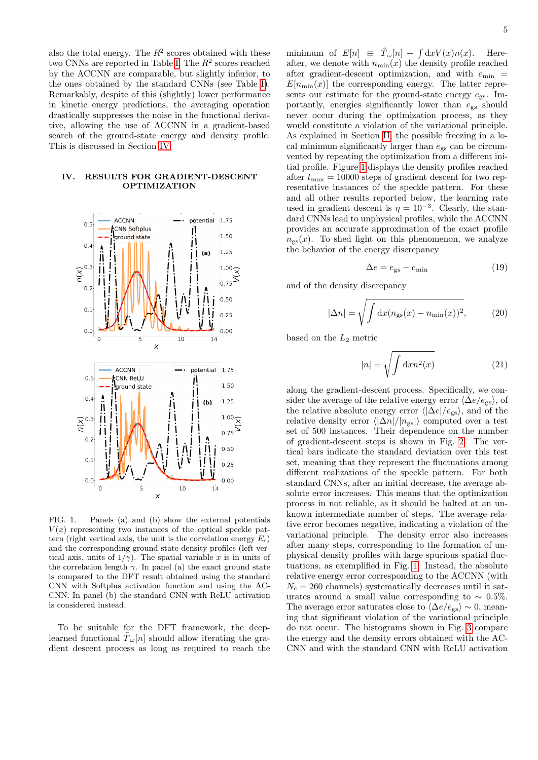also the total energy. The  $R^2$  scores obtained with these two CNNs are reported in Table [I.](#page-3-1) The  $R^2$  scores reached by the ACCNN are comparable, but slightly inferior, to the ones obtained by the standard CNNs (see Table [I\)](#page-3-1). Remarkably, despite of this (slightly) lower performance in kinetic energy predictions, the averaging operation drastically suppresses the noise in the functional derivative, allowing the use of ACCNN in a gradient-based search of the ground-state energy and density profile. This is discussed in Section [IV.](#page-4-0)

### <span id="page-4-0"></span>IV. RESULTS FOR GRADIENT-DESCENT OPTIMIZATION



<span id="page-4-1"></span>FIG. 1. Panels (a) and (b) show the external potentials  $V(x)$  representing two instances of the optical speckle pattern (right vertical axis, the unit is the correlation energy  $E_c$ ) and the corresponding ground-state density profiles (left vertical axis, units of  $1/\gamma$ ). The spatial variable x is in units of the correlation length  $\gamma$ . In panel (a) the exact ground state is compared to the DFT result obtained using the standard CNN with Softplus activation function and using the AC-CNN. In panel (b) the standard CNN with ReLU activation is considered instead.

To be suitable for the DFT framework, the deeplearned functional  $\tilde{T}_{\omega}[n]$  should allow iterating the gradient descent process as long as required to reach the

minimum of  $E[n] \equiv \tilde{T}_{\omega}[n] + \int dx V(x)n(x)$ . Hereafter, we denote with  $n_{\min}(x)$  the density profile reached after gradient-descent optimization, and with  $e_{\min}$  =  $E[n_{\min}(x)]$  the corresponding energy. The latter represents our estimate for the ground-state energy  $e_{gs}$ . Importantly, energies significantly lower than  $e_{gs}$  should never occur during the optimization process, as they would constitute a violation of the variational principle. As explained in Section [II,](#page-1-0) the possible freezing in a local minimum significantly larger than  $e_{gs}$  can be circumvented by repeating the optimization from a different initial profile. Figure [1](#page-4-1) displays the density profiles reached after  $t_{\text{max}} = 10000$  steps of gradient descent for two representative instances of the speckle pattern. For these and all other results reported below, the learning rate used in gradient descent is  $\eta = 10^{-3}$ . Clearly, the standard CNNs lead to unphysical profiles, while the ACCNN provides an accurate approximation of the exact profile  $n_{\rm gs}(x)$ . To shed light on this phenomenon, we analyze the behavior of the energy discrepancy

$$
\Delta e = e_{\rm gs} - e_{\rm min} \tag{19}
$$

and of the density discrepancy

$$
|\Delta n| = \sqrt{\int \mathrm{d}x (n_{\rm gs}(x) - n_{\rm min}(x))^2},\tag{20}
$$

based on the  $L_2$  metric

$$
|n| = \sqrt{\int \mathrm{d}x n^2(x)}\tag{21}
$$

along the gradient-descent process. Specifically, we consider the average of the relative energy error  $\langle \Delta e/e_{gs} \rangle$ , of the relative absolute energy error  $\langle |\Delta e|/e_{\rm gs} \rangle$ , and of the relative density error  $\langle |\Delta n|/|n_{\rm gs}|\rangle$  computed over a test set of 500 instances. Their dependence on the number of gradient-descent steps is shown in Fig. [2.](#page-5-0) The vertical bars indicate the standard deviation over this test set, meaning that they represent the fluctuations among different realizations of the speckle pattern. For both standard CNNs, after an initial decrease, the average absolute error increases. This means that the optimization process in not reliable, as it should be halted at an unknown intermediate number of steps. The average relative error becomes negative, indicating a violation of the variational principle. The density error also increases after many steps, corresponding to the formation of unphysical density profiles with large spurious spatial fluctuations, as exemplified in Fig. [1.](#page-4-1) Instead, the absolute relative energy error corresponding to the ACCNN (with  $N_c = 260$  channels) systematically decreases until it saturates around a small value corresponding to  $\sim 0.5\%$ . The average error saturates close to  $\langle \Delta e/e_{\rm gs} \rangle \sim 0$ , meaning that significant violation of the variational principle do not occur. The histograms shown in Fig. [3](#page-5-1) compare the energy and the density errors obtained with the AC-CNN and with the standard CNN with ReLU activation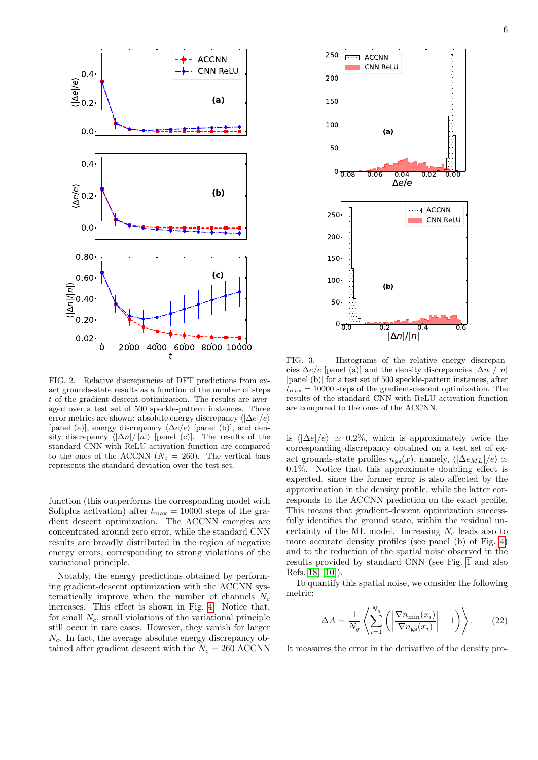

<span id="page-5-0"></span>FIG. 2. Relative discrepancies of DFT predictions from exact grounds-state results as a function of the number of steps t of the gradient-descent optimization. The results are averaged over a test set of 500 speckle-pattern instances. Three error metrics are shown: absolute energy discrepancy  $\langle |\Delta e|/e \rangle$ [panel (a)], energy discrepancy  $\langle \Delta e/e \rangle$  [panel (b)], and density discrepancy  $\langle |\Delta n|/ |n| \rangle$  [panel (c)]. The results of the standard CNN with ReLU activation function are compared to the ones of the ACCNN ( $N_c = 260$ ). The vertical bars represents the standard deviation over the test set.

function (this outperforms the corresponding model with Softplus activation) after  $t_{\text{max}} = 10000$  steps of the gradient descent optimization. The ACCNN energies are concentrated around zero error, while the standard CNN results are broadly distributed in the region of negative energy errors, corresponding to strong violations of the variational principle.

Notably, the energy predictions obtained by performing gradient-descent optimization with the ACCNN systematically improve when the number of channels  $N_c$ increases. This effect is shown in Fig. [4.](#page-6-1) Notice that, for small  $N_c$ , small violations of the variational principle still occur in rare cases. However, they vanish for larger  $N_c$ . In fact, the average absolute energy discrepancy obtained after gradient descent with the  $N_c = 260$  ACCNN



<span id="page-5-1"></span>FIG. 3. Histograms of the relative energy discrepancies  $\Delta e/e$  [panel (a)] and the density discrepancies  $|\Delta n|/|n|$ [panel (b)] for a test set of 500 speckle-pattern instances, after  $t_{\text{max}} = 10000$  steps of the gradient-descent optimization. The results of the standard CNN with ReLU activation function are compared to the ones of the ACCNN.

is  $\langle |\Delta e|/e \rangle \simeq 0.2\%$ , which is approximately twice the corresponding discrepancy obtained on a test set of exact grounds-state profiles  $n_{gs}(x)$ , namely,  $\langle |\Delta e_{ML}|/e \rangle \simeq$ 0.1%. Notice that this approximate doubling effect is expected, since the former error is also affected by the approximation in the density profile, while the latter corresponds to the ACCNN prediction on the exact profile. This means that gradient-descent optimization successfully identifies the ground state, within the residual uncertainty of the ML model. Increasing  $N_c$  leads also to more accurate density profiles (see panel (b) of Fig. [4\)](#page-6-1) and to the reduction of the spatial noise observed in the results provided by standard CNN (see Fig. [1](#page-4-1) and also Refs.[\[18\]](#page-8-1) [\[10\]](#page-7-6)).

To quantify this spatial noise, we consider the following metric:

<span id="page-5-2"></span>
$$
\Delta A = \frac{1}{N_g} \left\langle \sum_{i=1}^{N_g} \left( \left| \frac{\nabla n_{\min}(x_i)}{\nabla n_{\rm gs}(x_i)} \right| - 1 \right) \right\rangle. \tag{22}
$$

It measures the error in the derivative of the density pro-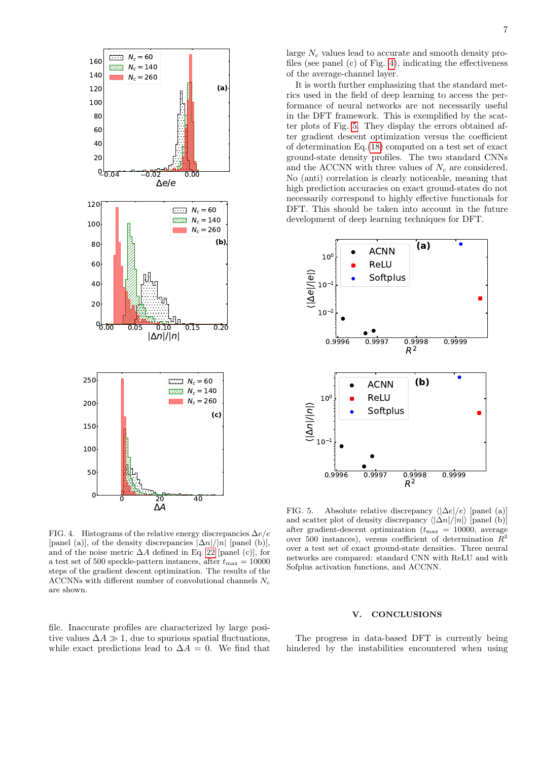

<span id="page-6-1"></span>FIG. 4. Histograms of the relative energy discrepancies  $\Delta e/e$ [panel (a)], of the density discrepancies  $|\Delta n|/|n|$  [panel (b)], and of the noise metric  $\Delta A$  defined in Eq. [22](#page-5-2) [panel (c)], for a test set of 500 speckle-pattern instances, after  $t_{\text{max}} = 10000$ steps of the gradient descent optimization. The results of the ACCNNs with different number of convolutional channels  $N_c$ are shown.

file. Inaccurate profiles are characterized by large positive values  $\Delta A \gg 1$ , due to spurious spatial fluctuations, while exact predictions lead to  $\Delta A = 0$ . We find that large  $N_c$  values lead to accurate and smooth density profiles (see panel (c) of Fig. [4\)](#page-6-1), indicating the effectiveness of the average-channel layer.

It is worth further emphasizing that the standard metrics used in the field of deep learning to access the performance of neural networks are not necessarily useful in the DFT framework. This is exemplified by the scatter plots of Fig. [5.](#page-6-2) They display the errors obtained after gradient descent optimization versus the coefficient of determination Eq.[\(18\)](#page-3-2) computed on a test set of exact ground-state density profiles. The two standard CNNs and the ACCNN with three values of  $N_c$  are considered. No (anti) correlation is clearly noticeable, meaning that high prediction accuracies on exact ground-states do not necessarily correspond to highly effective functionals for DFT. This should be taken into account in the future development of deep learning techniques for DFT.



<span id="page-6-2"></span>FIG. 5. Absolute relative discrepancy  $\langle |\Delta e|/e \rangle$  [panel (a)] and scatter plot of density discrepancy  $\langle |\Delta n|/|n| \rangle$  [panel (b)] after gradient-descent optimization ( $t_{\text{max}} = 10000$ , average over 500 instances), versus coefficient of determination  $R^2$ over a test set of exact ground-state densities. Three neural networks are compared: standard CNN with ReLU and with Sofplus activation functions, and ACCNN.

### <span id="page-6-0"></span>V. CONCLUSIONS

The progress in data-based DFT is currently being hindered by the instabilities encountered when using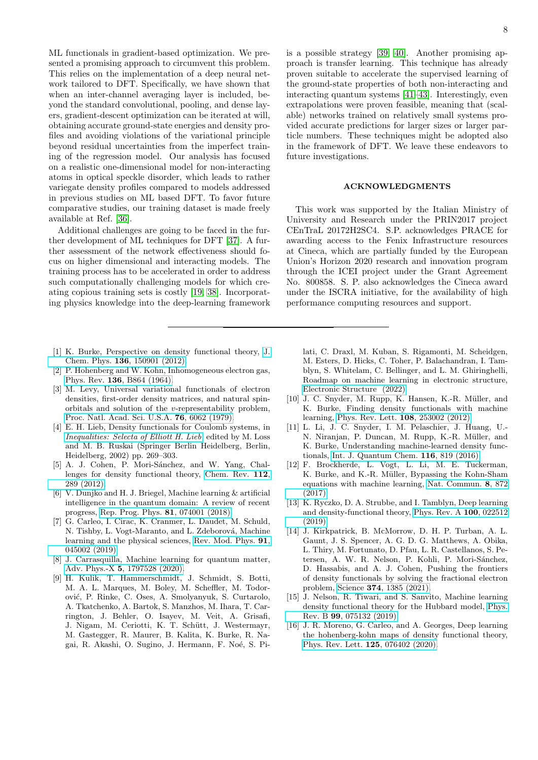ML functionals in gradient-based optimization. We presented a promising approach to circumvent this problem. This relies on the implementation of a deep neural network tailored to DFT. Specifically, we have shown that when an inter-channel averaging layer is included, beyond the standard convolutional, pooling, and dense layers, gradient-descent optimization can be iterated at will, obtaining accurate ground-state energies and density profiles and avoiding violations of the variational principle beyond residual uncertainties from the imperfect training of the regression model. Our analysis has focused on a realistic one-dimensional model for non-interacting atoms in optical speckle disorder, which leads to rather variegate density profiles compared to models addressed in previous studies on ML based DFT. To favor future comparative studies, our training dataset is made freely available at Ref. [\[36\]](#page-8-18).

Additional challenges are going to be faced in the further development of ML techniques for DFT [\[37\]](#page-8-19). A further assessment of the network effectiveness should focus on higher dimensional and interacting models. The training process has to be accelerated in order to address such computationally challenging models for which creating copious training sets is costly [\[19,](#page-8-2) [38\]](#page-8-20). Incorporating physics knowledge into the deep-learning framework

- <span id="page-7-0"></span>[1] K. Burke, Perspective on density functional theory, [J.](https://doi.org/10.1063/1.4704546) Chem. Phys. 136[, 150901 \(2012\).](https://doi.org/10.1063/1.4704546)
- <span id="page-7-1"></span>[2] P. Hohenberg and W. Kohn, Inhomogeneous electron gas, Phys. Rev. 136[, B864 \(1964\).](https://doi.org/10.1103/PhysRev.136.B864)
- [3] M. Levy, Universal variational functionals of electron densities, first-order density matrices, and natural spinorbitals and solution of the v-representability problem, [Proc. Natl. Acad. Sci. U.S.A.](https://doi.org/10.1073/pnas.76.12.6062) 76, 6062 (1979).
- <span id="page-7-2"></span>[4] E. H. Lieb, Density functionals for Coulomb systems, in [Inequalities: Selecta of Elliott H. Lieb](https://doi.org/10.1007/978-3-642-55925-9_24), edited by M. Loss and M. B. Ruskai (Springer Berlin Heidelberg, Berlin, Heidelberg, 2002) pp. 269–303.
- <span id="page-7-3"></span>[5] A. J. Cohen, P. Mori-Sánchez, and W. Yang, Challenges for density functional theory, [Chem. Rev.](https://doi.org/10.1021/cr200107z) 112, [289 \(2012\).](https://doi.org/10.1021/cr200107z)
- <span id="page-7-4"></span>[6] V. Dunjko and H. J. Briegel, Machine learning & artificial intelligence in the quantum domain: A review of recent progress, [Rep. Prog. Phys.](https://doi.org/10.1088/1361-6633/aab406) 81, 074001 (2018).
- [7] G. Carleo, I. Cirac, K. Cranmer, L. Daudet, M. Schuld, N. Tishby, L. Vogt-Maranto, and L. Zdeborová, Machine learning and the physical sciences, [Rev. Mod. Phys.](https://doi.org/10.1103/RevModPhys.91.045002) 91, [045002 \(2019\).](https://doi.org/10.1103/RevModPhys.91.045002)
- [8] J. Carrasquilla, Machine learning for quantum matter, Adv. Phys.-X 5[, 1797528 \(2020\).](https://doi.org/10.1080/23746149.2020.1797528)
- <span id="page-7-5"></span>[9] H. Kulik, T. Hammerschmidt, J. Schmidt, S. Botti, M. A. L. Marques, M. Boley, M. Scheffler, M. Todorovi´c, P. Rinke, C. Oses, A. Smolyanyuk, S. Curtarolo, A. Tkatchenko, A. Bartok, S. Manzhos, M. Ihara, T. Carrington, J. Behler, O. Isayev, M. Veit, A. Grisafi, J. Nigam, M. Ceriotti, K. T. Schütt, J. Westermayr, M. Gastegger, R. Maurer, B. Kalita, K. Burke, R. Nagai, R. Akashi, O. Sugino, J. Hermann, F. Noé, S. Pi-

is a possible strategy [\[39,](#page-8-21) [40\]](#page-8-22). Another promising approach is transfer learning. This technique has already proven suitable to accelerate the supervised learning of the ground-state properties of both non-interacting and interacting quantum systems [\[41](#page-8-23)[–43\]](#page-8-24). Interestingly, even extrapolations were proven feasible, meaning that (scalable) networks trained on relatively small systems provided accurate predictions for larger sizes or larger particle numbers. These techniques might be adopted also in the framework of DFT. We leave these endeavors to future investigations.

### ACKNOWLEDGMENTS

This work was supported by the Italian Ministry of University and Research under the PRIN2017 project CEnTraL 20172H2SC4. S.P. acknowledges PRACE for awarding access to the Fenix Infrastructure resources at Cineca, which are partially funded by the European Union's Horizon 2020 research and innovation program through the ICEI project under the Grant Agreement No. 800858. S. P. also acknowledges the Cineca award under the ISCRA initiative, for the availability of high performance computing resources and support.

lati, C. Draxl, M. Kuban, S. Rigamonti, M. Scheidgen, M. Esters, D. Hicks, C. Toher, P. Balachandran, I. Tamblyn, S. Whitelam, C. Bellinger, and L. M. Ghiringhelli, Roadmap on machine learning in electronic structure, [Electronic Structure \(2022\).](http://iopscience.iop.org/article/10.1088/2516-1075/ac572f)

- <span id="page-7-6"></span>[10] J. C. Snyder, M. Rupp, K. Hansen, K.-R. Müller, and K. Burke, Finding density functionals with machine learning, [Phys. Rev. Lett.](https://doi.org/10.1103/PhysRevLett.108.253002) 108, 253002 (2012).
- <span id="page-7-10"></span>[11] L. Li, J. C. Snyder, I. M. Pelaschier, J. Huang, U.- N. Niranjan, P. Duncan, M. Rupp, K.-R. Müller, and K. Burke, Understanding machine-learned density functionals, [Int. J. Quantum Chem.](https://doi.org/https://doi.org/10.1002/qua.25040) 116, 819 (2016).
- [12] F. Brockherde, L. Vogt, L. Li, M. E. Tuckerman, K. Burke, and K.-R. Müller, Bypassing the Kohn-Sham equations with machine learning, [Nat. Commun.](https://doi.org/10.1038/s41467-017-00839-3) 8, 872 [\(2017\).](https://doi.org/10.1038/s41467-017-00839-3)
- <span id="page-7-9"></span>[13] K. Ryczko, D. A. Strubbe, and I. Tamblyn, Deep learning and density-functional theory, [Phys. Rev. A](https://doi.org/10.1103/PhysRevA.100.022512) 100, 022512 [\(2019\).](https://doi.org/10.1103/PhysRevA.100.022512)
- <span id="page-7-7"></span>[14] J. Kirkpatrick, B. McMorrow, D. H. P. Turban, A. L. Gaunt, J. S. Spencer, A. G. D. G. Matthews, A. Obika, L. Thiry, M. Fortunato, D. Pfau, L. R. Castellanos, S. Petersen, A. W. R. Nelson, P. Kohli, P. Mori-Sánchez, D. Hassabis, and A. J. Cohen, Pushing the frontiers of density functionals by solving the fractional electron problem, Science 374[, 1385 \(2021\).](https://doi.org/10.1126/science.abj6511)
- <span id="page-7-8"></span>[15] J. Nelson, R. Tiwari, and S. Sanvito, Machine learning density functional theory for the Hubbard model, [Phys.](https://doi.org/10.1103/PhysRevB.99.075132) Rev. B 99[, 075132 \(2019\).](https://doi.org/10.1103/PhysRevB.99.075132)
- [16] J. R. Moreno, G. Carleo, and A. Georges, Deep learning the hohenberg-kohn maps of density functional theory, [Phys. Rev. Lett.](https://doi.org/10.1103/PhysRevLett.125.076402) 125, 076402 (2020).